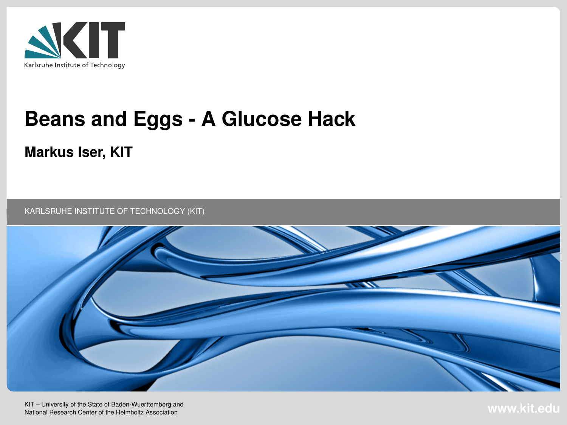

# **Beans and Eggs - A Glucose Hack**

#### **Markus Iser, KIT**

KARLSRUHE INSTITUTE OF TECHNOLOGY (KIT)



**COMARKUS ISOR CONSTRUMENT IS A 2016-07-04 MARKUS IS CONSTRUCTED AT A 2016 OF TECHNOLOGY (KIT) CONSTRUMENT IS A 2016-07-04 MARKUS IS A 2016-07-04 MARKUS IS A 2016-07-04 MARKUS IS A 2016-07-04 MARKUS IS A 2016-07-04 MARKUS** KIT – University of the State of Baden-Wuerttemberg and<br>National Research Center of the Helmholtz Association **www.kit.edu.com**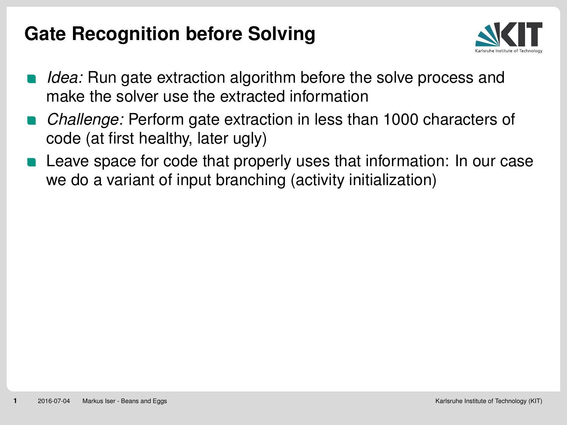## **Gate Recognition before Solving**



- *Idea:* Run gate extraction algorithm before the solve process and make the solver use the extracted information
- *Challenge:* Perform gate extraction in less than 1000 characters of code (at first healthy, later ugly)
- Leave space for code that properly uses that information: In our case we do a variant of input branching (activity initialization)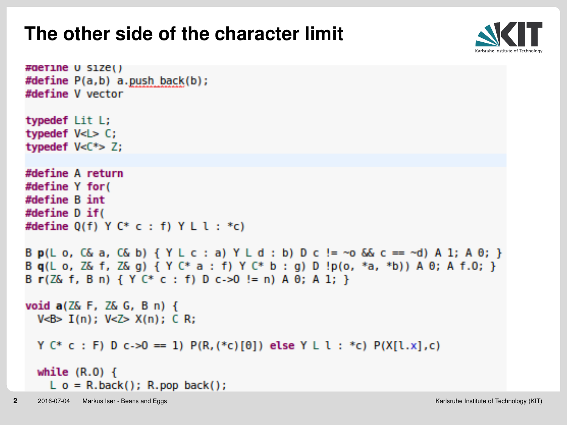## **The other side of the character limit**



```
#define U size()
  #define P(a,b) a.push back(b);
  #define V vector
  typedef Lit L;
  typedef V<L> C;
  typedef V<C*> Z:
  #define A return
  #define Y for(
  #define B int
  #define D if(
  #define 0(f) Y C^* C : f) Y L I : *c)
  B p(L o, C\& a, C\& b) { Y L c : a } Y L d : b } D c := \neg o \& c == \neg d } A 1; A \theta; }
  Bq(Lo, Z& f, Z& g) { Y C* a : f) Y C* b : g) D !p(o, *a, *b)) A 0; A f.O; }
  B r(Z& f, B n) { Y C* c : f) D c->0 != n) A \theta; A 1; }
  void a(Z& F, Z& G, B n) {
    V < B > I(n): V < Z > X(n): CR:
    Y C* c : F) D c->0 == 1) P(R, (*c) [0]) else Y L l : *c) P(X[l.x], c)
    while (R.0) {
      L o = R.back(); R.pop back();
2 2016-07-04 Markus Iser - Beans and Eggs Karlsruhe Institute of Technology (KIT)
```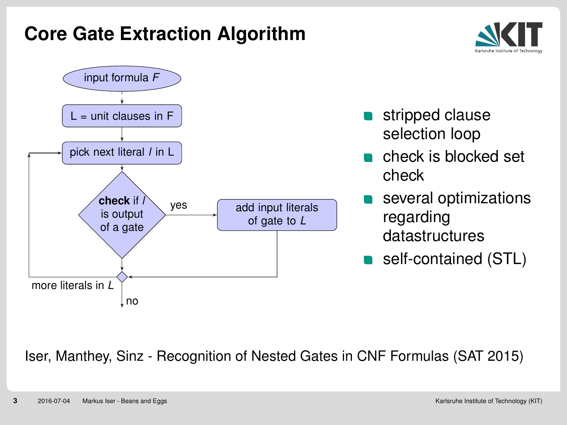## **Core Gate Extraction Algorithm**





Iser, Manthey, Sinz - Recognition of Nested Gates in CNF Formulas (SAT 2015)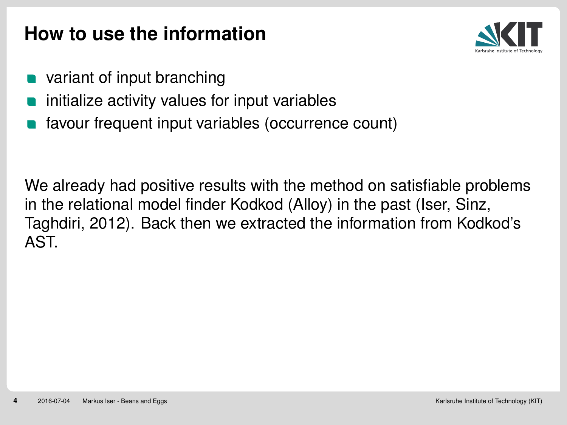## **How to use the information**



- variant of input branching
- initialize activity values for input variables
- favour frequent input variables (occurrence count)

We already had positive results with the method on satisfiable problems in the relational model finder Kodkod (Alloy) in the past (Iser, Sinz, Taghdiri, 2012). Back then we extracted the information from Kodkod's AST.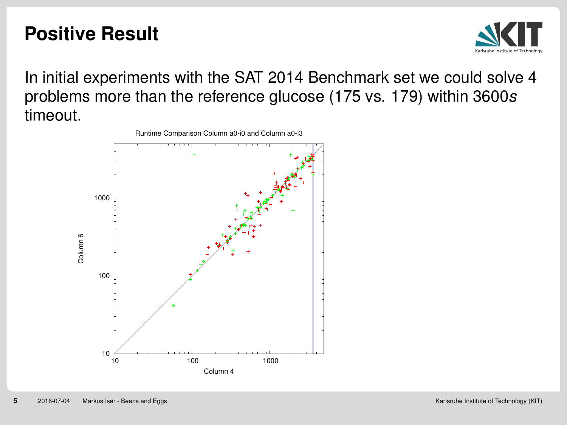## **Positive Result**



In initial experiments with the SAT 2014 Benchmark set we could solve 4 problems more than the reference glucose (175 vs. 179) within 3600*s* timeout.



Runtime Comparison Column a0-i0 and Column a0-i3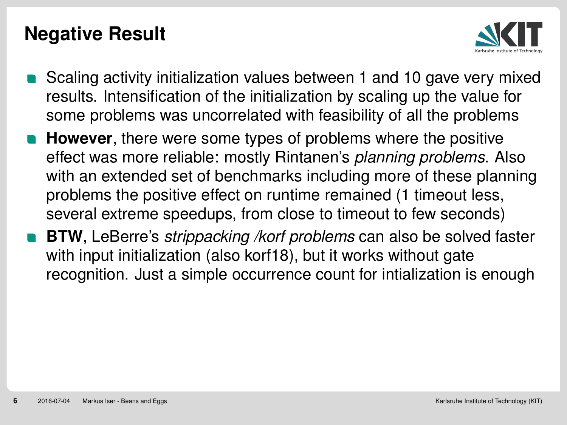## **Negative Result**



- Scaling activity initialization values between 1 and 10 gave very mixed results. Intensification of the initialization by scaling up the value for some problems was uncorrelated with feasibility of all the problems
- **However**, there were some types of problems where the positive effect was more reliable: mostly Rintanen's *planning problems*. Also with an extended set of benchmarks including more of these planning problems the positive effect on runtime remained (1 timeout less, several extreme speedups, from close to timeout to few seconds)
- **BTW**, LeBerre's *strippacking /korf problems* can also be solved faster with input initialization (also korf18), but it works without gate recognition. Just a simple occurrence count for intialization is enough